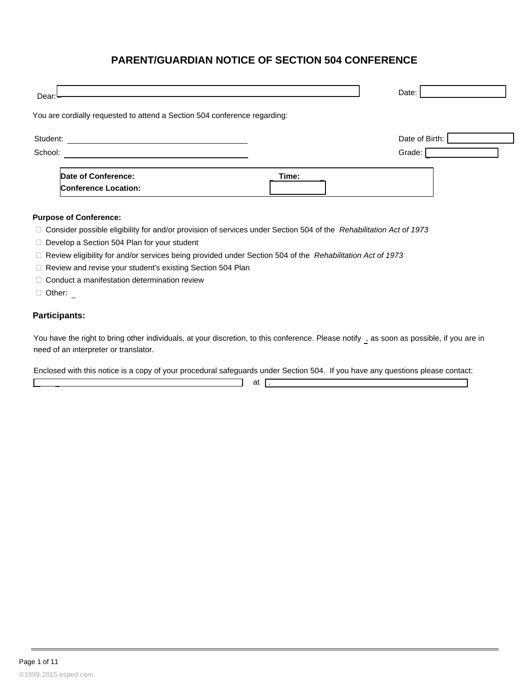# **PARENT/GUARDIAN NOTICE OF SECTION 504 CONFERENCE**

| Dear:                                                                     |       | Date:          |
|---------------------------------------------------------------------------|-------|----------------|
| You are cordially requested to attend a Section 504 conference regarding: |       |                |
| Student:                                                                  |       | Date of Birth: |
| School:                                                                   |       | Grade:         |
| Date of Conference:<br><b>Conference Location:</b>                        | Time: |                |
|                                                                           |       |                |

#### **Purpose of Conference:**

- � Consider possible eligibility for and/or provision of services under Section 504 of the *Rehabilitation Act of 1973*
- $\Box$  Develop a Section 504 Plan for your student
- � Review eligibility for and/or services being provided under Section 504 of the *Rehabilitation Act of 1973*
- □ Review and revise your student's existing Section 504 Plan
- $\Box$  Conduct a manifestation determination review
- $\Box$  Other:  $\Box$

#### **Participants:**

You have the right to bring other individuals, at your discretion, to this conference. Please notify <sub>2</sub> as soon as possible, if you are in need of an interpreter or translator.

Enclosed with this notice is a copy of your procedural safeguards under Section 504. If you have any questions please contact:

| --- |  |
|-----|--|
|     |  |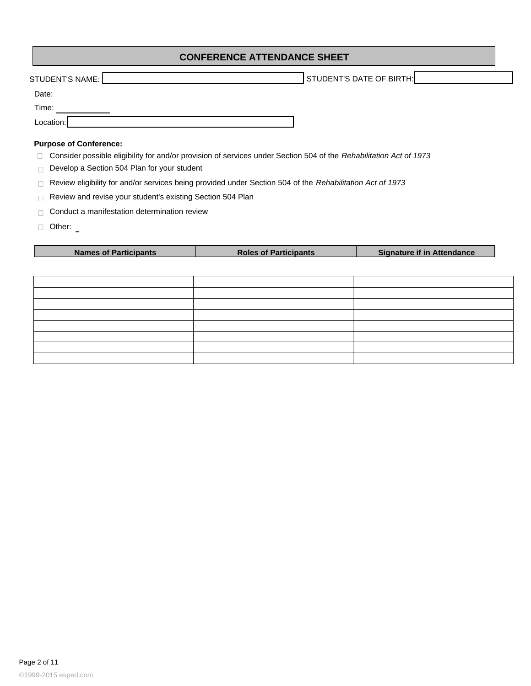### **CONFERENCE ATTENDANCE SHEET**

| STUDENT'S NAME: | STUDENT'S DATE OF BIRTH: |
|-----------------|--------------------------|
| Date:           |                          |
| Time:           |                          |
| Location:       |                          |

#### **Purpose of Conference:**

- � Consider possible eligibility for and/or provision of services under Section 504 of the *Rehabilitation Act of 1973*
- $\Box$  Develop a Section 504 Plan for your student
- � Review eligibility for and/or services being provided under Section 504 of the *Rehabilitation Act of 1973*
- Review and revise your student's existing Section 504 Plan
- $\Box$  Conduct a manifestation determination review
- $\Box$  Other:  $\Box$

|  | <b>Names of Participants</b> | <b>Roles of Participants</b> | <b>Signature if in Attendance</b> |
|--|------------------------------|------------------------------|-----------------------------------|
|--|------------------------------|------------------------------|-----------------------------------|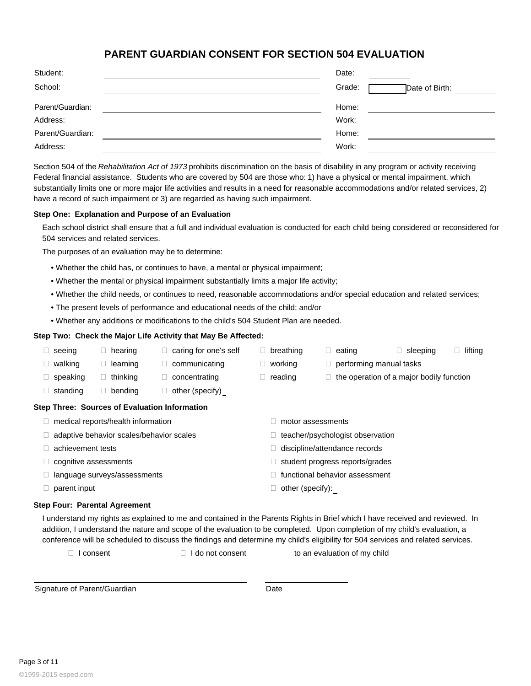### **PARENT GUARDIAN CONSENT FOR SECTION 504 EVALUATION**

| Student:         | Date:  |                |
|------------------|--------|----------------|
| School:          | Grade: | Date of Birth: |
| Parent/Guardian: | Home:  |                |
| Address:         | Work:  |                |
| Parent/Guardian: | Home:  |                |
| Address:         | Work:  |                |

Section 504 of the *Rehabilitation Act of 1973* prohibits discrimination on the basis of disability in any program or activity receiving Federal financial assistance. Students who are covered by 504 are those who: 1) have a physical or mental impairment, which substantially limits one or more major life activities and results in a need for reasonable accommodations and/or related services, 2) have a record of such impairment or 3) are regarded as having such impairment.

#### **Step One: Explanation and Purpose of an Evaluation**

Each school district shall ensure that a full and individual evaluation is conducted for each child being considered or reconsidered for 504 services and related services.

The purposes of an evaluation may be to determine:

- Whether the child has, or continues to have, a mental or physical impairment;
- Whether the mental or physical impairment substantially limits a major life activity;
- Whether the child needs, or continues to need, reasonable accommodations and/or special education and related services;
- The present levels of performance and educational needs of the child; and/or
- Whether any additions or modifications to the child's 504 Student Plan are needed.

#### **Step Two: Check the Major Life Activity that May Be Affected:**

|                                    | seeing                                   | hearing                                              | caring for one's self | breathing               | eating                                 | $\Box$ sleeping                          | lifting |
|------------------------------------|------------------------------------------|------------------------------------------------------|-----------------------|-------------------------|----------------------------------------|------------------------------------------|---------|
|                                    | walking                                  | learning                                             | $\Box$ communicating  | working                 | performing manual tasks                |                                          |         |
|                                    | speaking                                 | thinking                                             | concentrating         | reading                 |                                        | the operation of a major bodily function |         |
|                                    | standing                                 | bending                                              | other (specify)       |                         |                                        |                                          |         |
|                                    |                                          | <b>Step Three: Sources of Evaluation Information</b> |                       |                         |                                        |                                          |         |
| medical reports/health information |                                          |                                                      | motor assessments     |                         |                                        |                                          |         |
|                                    | adaptive behavior scales/behavior scales |                                                      |                       |                         | teacher/psychologist observation       |                                          |         |
|                                    | achievement tests                        |                                                      |                       |                         | discipline/attendance records          |                                          |         |
|                                    | cognitive assessments                    |                                                      |                       |                         | $\Box$ student progress reports/grades |                                          |         |
|                                    | language surveys/assessments             |                                                      |                       |                         | functional behavior assessment         |                                          |         |
|                                    | parent input                             |                                                      |                       | $\Box$ other (specify): |                                        |                                          |         |
|                                    |                                          | <b>Step Four: Parental Agreement</b>                 |                       |                         |                                        |                                          |         |

I understand my rights as explained to me and contained in the Parents Rights in Brief which I have received and reviewed. In addition, I understand the nature and scope of the evaluation to be completed. Upon completion of my child's evaluation, a conference will be scheduled to discuss the findings and determine my child's eligibility for 504 services and related services.

□ I consent **b** I do not consent to an evaluation of my child

| Signature of Parent/Guardian | Date |
|------------------------------|------|
|------------------------------|------|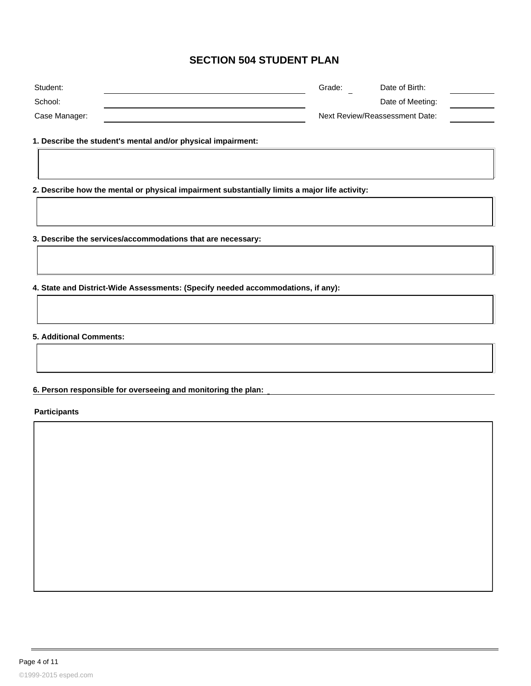### **SECTION 504 STUDENT PLAN**

| Student:      | Grade:<br>$\overline{\phantom{0}}$ | Date of Birth:   |  |
|---------------|------------------------------------|------------------|--|
| School:       |                                    | Date of Meeting: |  |
| Case Manager: | Next Review/Reassessment Date:     |                  |  |

**1. Describe the student's mental and/or physical impairment:**

**2. Describe how the mental or physical impairment substantially limits a major life activity:**

**3. Describe the services/accommodations that are necessary:**

**4. State and District-Wide Assessments: (Specify needed accommodations, if any):**

**5. Additional Comments:**

**6. Person responsible for overseeing and monitoring the plan:**

**Participants**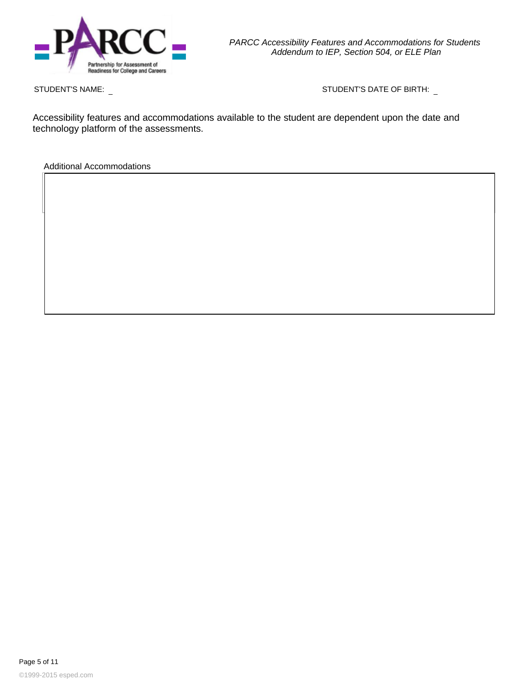

STUDENT'S NAME: STUDENT'S DATE OF BIRTH:

Accessibility features and accommodations available to the student are dependent upon the date and technology platform of the assessments.

Additional Accommodations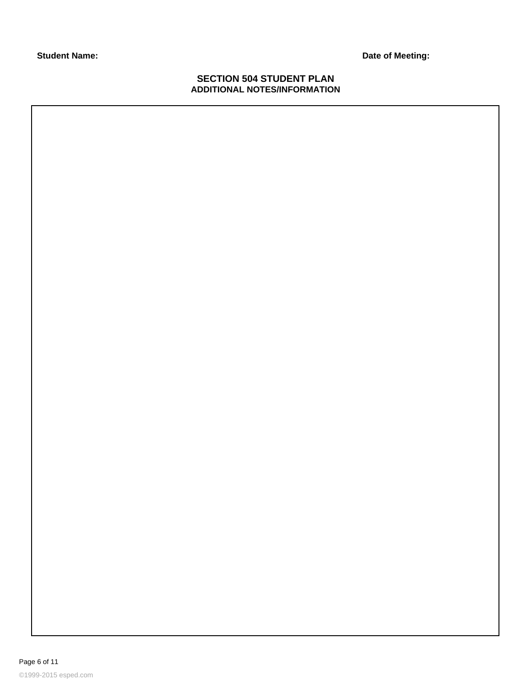**Student Name: Date of Meeting:**

### **SECTION 504 STUDENT PLAN ADDITIONAL NOTES/INFORMATION**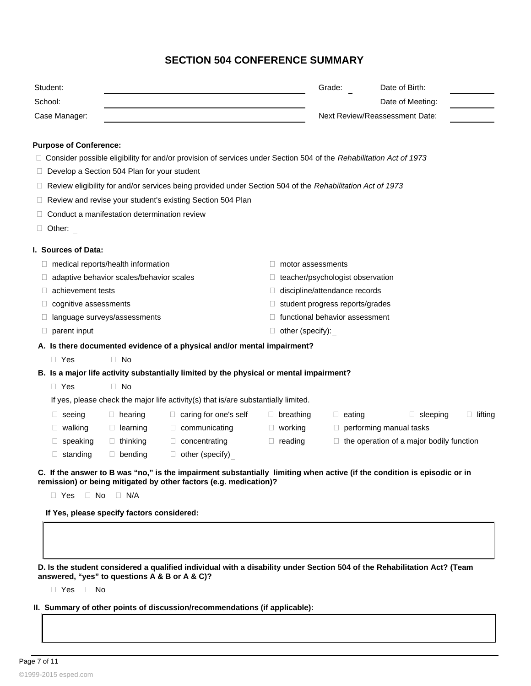# **SECTION 504 CONFERENCE SUMMARY**

| Student:                                |                                              |                                                                                                                      |                                  | Grade:                          | Date of Birth:                                                                                                           |  |
|-----------------------------------------|----------------------------------------------|----------------------------------------------------------------------------------------------------------------------|----------------------------------|---------------------------------|--------------------------------------------------------------------------------------------------------------------------|--|
| School:                                 |                                              |                                                                                                                      |                                  |                                 | Date of Meeting:                                                                                                         |  |
| Case Manager:                           |                                              |                                                                                                                      | Next Review/Reassessment Date:   |                                 |                                                                                                                          |  |
| <b>Purpose of Conference:</b>           |                                              |                                                                                                                      |                                  |                                 |                                                                                                                          |  |
|                                         |                                              | □ Consider possible eligibility for and/or provision of services under Section 504 of the Rehabilitation Act of 1973 |                                  |                                 |                                                                                                                          |  |
| ⊔                                       | Develop a Section 504 Plan for your student  |                                                                                                                      |                                  |                                 |                                                                                                                          |  |
|                                         |                                              | □ Review eligibility for and/or services being provided under Section 504 of the Rehabilitation Act of 1973          |                                  |                                 |                                                                                                                          |  |
|                                         |                                              | Review and revise your student's existing Section 504 Plan                                                           |                                  |                                 |                                                                                                                          |  |
|                                         | Conduct a manifestation determination review |                                                                                                                      |                                  |                                 |                                                                                                                          |  |
| Other:                                  |                                              |                                                                                                                      |                                  |                                 |                                                                                                                          |  |
| I. Sources of Data:                     |                                              |                                                                                                                      |                                  |                                 |                                                                                                                          |  |
|                                         | medical reports/health information           |                                                                                                                      | motor assessments                |                                 |                                                                                                                          |  |
|                                         | adaptive behavior scales/behavior scales     |                                                                                                                      | teacher/psychologist observation |                                 |                                                                                                                          |  |
| achievement tests                       |                                              |                                                                                                                      | discipline/attendance records    |                                 |                                                                                                                          |  |
|                                         | cognitive assessments                        |                                                                                                                      |                                  | student progress reports/grades |                                                                                                                          |  |
| language surveys/assessments            |                                              |                                                                                                                      | functional behavior assessment   |                                 |                                                                                                                          |  |
| parent input<br>$\Box$ other (specify): |                                              |                                                                                                                      |                                  |                                 |                                                                                                                          |  |
|                                         |                                              | A. Is there documented evidence of a physical and/or mental impairment?                                              |                                  |                                 |                                                                                                                          |  |
| $\Box$ Yes                              | $\Box$ No                                    |                                                                                                                      |                                  |                                 |                                                                                                                          |  |
|                                         |                                              | B. Is a major life activity substantially limited by the physical or mental impairment?                              |                                  |                                 |                                                                                                                          |  |
| $\Box$ Yes                              | $\Box$ No                                    |                                                                                                                      |                                  |                                 |                                                                                                                          |  |
|                                         |                                              | If yes, please check the major life activity(s) that is/are substantially limited.                                   |                                  |                                 |                                                                                                                          |  |
| $\Box$ seeing                           | $\Box$ hearing                               | $\Box$ caring for one's self                                                                                         | $\Box$ breathing                 | $\Box$ eating                   | $\Box$ lifting<br>$\Box$ sleeping                                                                                        |  |
| walking<br>Ц                            | $\Box$ learning                              | $\Box$ communicating                                                                                                 | $\Box$ working                   |                                 | $\Box$ performing manual tasks                                                                                           |  |
| speaking                                | $\Box$ thinking                              | $\Box$ concentrating                                                                                                 | $\Box$ reading                   |                                 | $\Box$ the operation of a major bodily function                                                                          |  |
| $\Box$ standing                         | $\Box$ bending                               | $\Box$ other (specify)                                                                                               |                                  |                                 |                                                                                                                          |  |
|                                         |                                              |                                                                                                                      |                                  |                                 | C. If the answer to B was "no," is the impairment substantially limiting when active (if the condition is episodic or in |  |
|                                         |                                              | remission) or being mitigated by other factors (e.g. medication)?                                                    |                                  |                                 |                                                                                                                          |  |
| $\Box$ Yes $\Box$ No                    | $\Box$ N/A                                   |                                                                                                                      |                                  |                                 |                                                                                                                          |  |
|                                         | If Yes, please specify factors considered:   |                                                                                                                      |                                  |                                 |                                                                                                                          |  |
|                                         |                                              |                                                                                                                      |                                  |                                 |                                                                                                                          |  |
|                                         |                                              |                                                                                                                      |                                  |                                 |                                                                                                                          |  |
|                                         |                                              |                                                                                                                      |                                  |                                 |                                                                                                                          |  |
|                                         |                                              |                                                                                                                      |                                  |                                 | D. Is the student considered a qualified individual with a disability under Section 504 of the Rehabilitation Act? (Team |  |

**answered, "yes" to questions A & B or A & C)?**

 $\Box$  Yes  $\Box$  No

**II. Summary of other points of discussion/recommendations (if applicable):**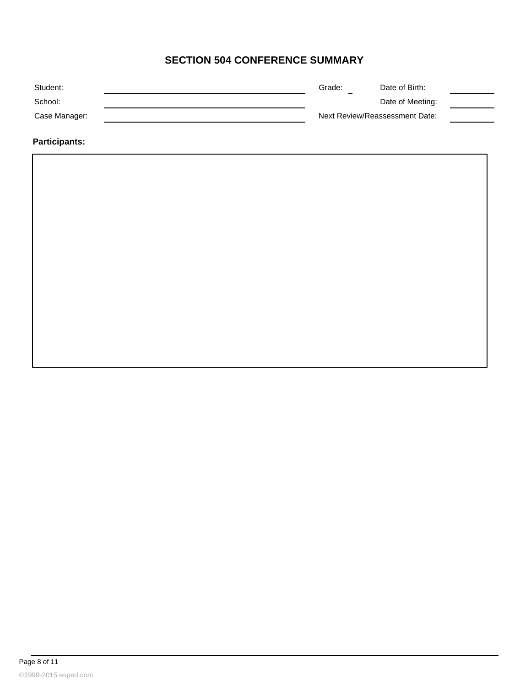# **SECTION 504 CONFERENCE SUMMARY**

| Student:      | Grade:<br>$\overline{\phantom{0}}$ | Date of Birth:   |  |
|---------------|------------------------------------|------------------|--|
| School:       |                                    | Date of Meeting: |  |
| Case Manager: | Next Review/Reassessment Date:     |                  |  |
|               |                                    |                  |  |

## **Participants:**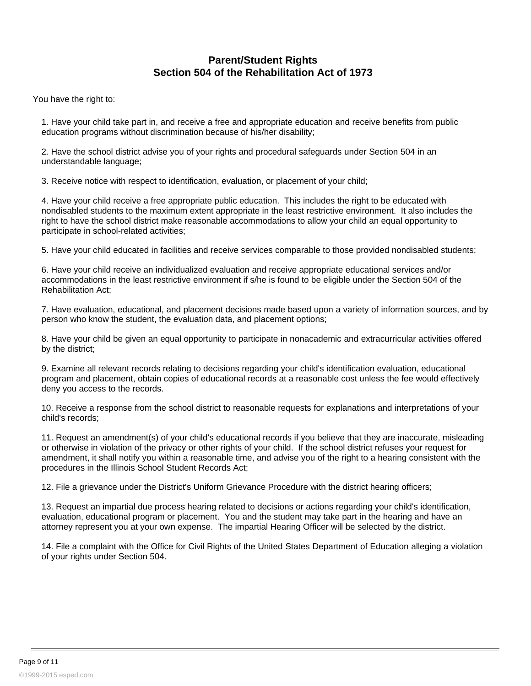# **Parent/Student Rights Section 504 of the Rehabilitation Act of 1973**

You have the right to:

1. Have your child take part in, and receive a free and appropriate education and receive benefits from public education programs without discrimination because of his/her disability;

2. Have the school district advise you of your rights and procedural safeguards under Section 504 in an understandable language;

3. Receive notice with respect to identification, evaluation, or placement of your child;

4. Have your child receive a free appropriate public education. This includes the right to be educated with nondisabled students to the maximum extent appropriate in the least restrictive environment. It also includes the right to have the school district make reasonable accommodations to allow your child an equal opportunity to participate in school-related activities;

5. Have your child educated in facilities and receive services comparable to those provided nondisabled students;

6. Have your child receive an individualized evaluation and receive appropriate educational services and/or accommodations in the least restrictive environment if s/he is found to be eligible under the Section 504 of the Rehabilitation Act;

7. Have evaluation, educational, and placement decisions made based upon a variety of information sources, and by person who know the student, the evaluation data, and placement options;

8. Have your child be given an equal opportunity to participate in nonacademic and extracurricular activities offered by the district;

9. Examine all relevant records relating to decisions regarding your child's identification evaluation, educational program and placement, obtain copies of educational records at a reasonable cost unless the fee would effectively deny you access to the records.

10. Receive a response from the school district to reasonable requests for explanations and interpretations of your child's records;

11. Request an amendment(s) of your child's educational records if you believe that they are inaccurate, misleading or otherwise in violation of the privacy or other rights of your child. If the school district refuses your request for amendment, it shall notify you within a reasonable time, and advise you of the right to a hearing consistent with the procedures in the Illinois School Student Records Act;

12. File a grievance under the District's Uniform Grievance Procedure with the district hearing officers;

13. Request an impartial due process hearing related to decisions or actions regarding your child's identification, evaluation, educational program or placement. You and the student may take part in the hearing and have an attorney represent you at your own expense. The impartial Hearing Officer will be selected by the district.

14. File a complaint with the Office for Civil Rights of the United States Department of Education alleging a violation of your rights under Section 504.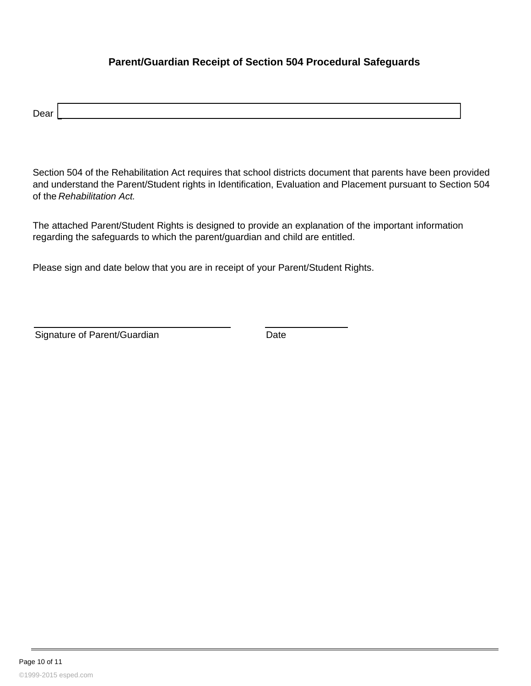### **Parent/Guardian Receipt of Section 504 Procedural Safeguards**

Dear

Section 504 of the Rehabilitation Act requires that school districts document that parents have been provided and understand the Parent/Student rights in Identification, Evaluation and Placement pursuant to Section 504 of the *Rehabilitation Act.*

The attached Parent/Student Rights is designed to provide an explanation of the important information regarding the safeguards to which the parent/guardian and child are entitled.

Please sign and date below that you are in receipt of your Parent/Student Rights.

Signature of Parent/Guardian Date